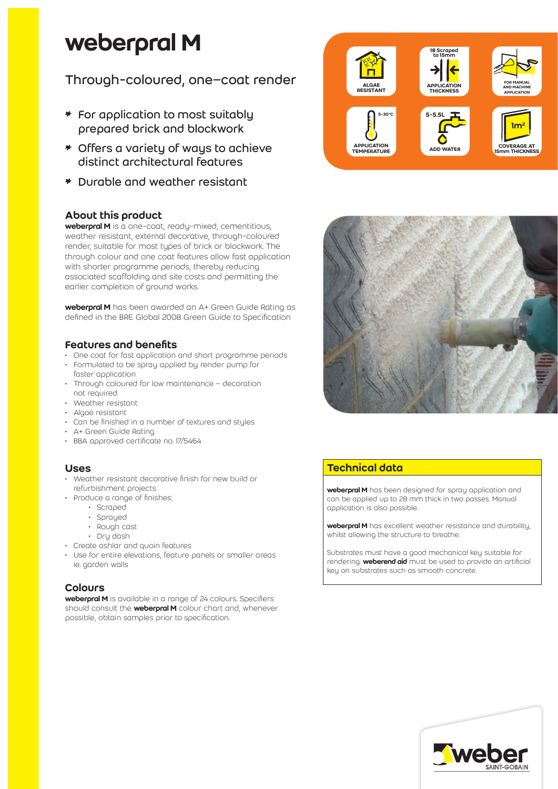# weberpral M

# Through-coloured, one–coat render

- \* For application to most suitably prepared brick and blockwork
- \* Offers a variety of ways to achieve distinct architectural features
- \* Durable and weather resistant

# About this product

weberpral M is a one-coat, ready-mixed, cementitious, weather resistant, external decorative, through-coloured render, suitable for most types of brick or blockwork. The through colour and one coat features allow fast application with shorter programme periods, thereby reducing associated scaffolding and site costs and permitting the earlier completion of ground works.

weberpral M has been awarded an A+ Green Guide Rating as defined in the BRE Global 2008 Green Guide to Specification

# Features and benefits

- One coat for fast application and short programme periods
- Formulated to be spray applied by render pump for faster application
- Through coloured for low maintenance decoration not required
- Weather resistant
- Algae resistant
- Can be finished in a number of textures and styles
- A+ Green Guide Rating
- BBA approved certificate no. 17/5464

#### Uses

- Weather resistant decorative finish for new build or refurbishment projects
- Produce a range of finishes:
	- Scraped
	- Sprayed
	- Rough cast
	- Dry dash
- Create ashlar and quoin features
- Use for entire elevations, feature panels or smaller areas ie. garden walls

# Colours

weberpral M is available in a range of 24 colours. Specifiers should consult the **weberpral M** colour chart and, whenever possible, obtain samples prior to specification.





# Technical data

weberpral M has been designed for spray application and can be applied up to 28 mm thick in two passes. Manual application is also possible.

weberpral M has excellent weather resistance and durability, whilst allowing the structure to breathe.

Substrates must have a good mechanical key suitable for rendering. **weberend aid** must be used to provide an artificial key on substrates such as smooth concrete.